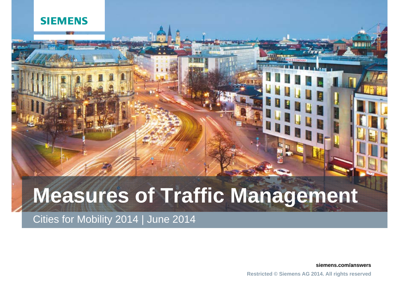#### **SIEMENS**

# **Measures of Traffic Management**

Cities for Mobility 2014 | June 2014

**siemens.com/answers**

**Restricted © Siemens AG 2014. All rights reserved**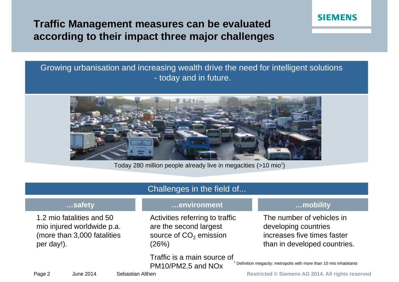**Traffic Management measures can be evaluated according to their impact three major challenges**

#### Growing urbanisation and increasing wealth drive the need for intelligent solutions - today and in future.



Today 280 million people already live in megacities  $($ >10 mio<sup>1</sup>)

| Challenges in the field of                                                                           |                                                                                                          |                                                                                                                  |
|------------------------------------------------------------------------------------------------------|----------------------------------------------------------------------------------------------------------|------------------------------------------------------------------------------------------------------------------|
| safety                                                                                               | environment                                                                                              | mobility                                                                                                         |
| 1.2 mio fatalities and 50<br>mio injured worldwide p.a.<br>(more than 3,000 fatalities<br>per day!). | Activities referring to traffic<br>are the second largest<br>source of CO <sub>2</sub> emission<br>(26%) | The number of vehicles in<br>developing countries<br>increases five times faster<br>than in developed countries. |
|                                                                                                      | Traffic is a main source of<br>PM10/PM2.5 and NOx                                                        | Definition megacity: metropolis with more than 10 mio inhabitants                                                |

Page 2 June 2014 Sebastian Althen **Restricted © Siemens AG 2014. All rights reserved** 

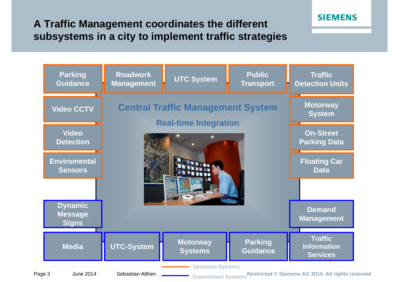## **A Traffic Management coordinates the different subsystems in a city to implement traffic strategies**



Page 3 June 2014 Sebastian Althen **\_\_\_\_\_\_\_\_\_\_** <sub>Downstream Systems</sub>Restricted © Siemens AG 2014. All rights reserved

**SIEMENS**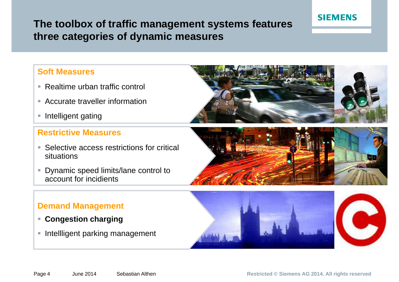## **The toolbox of traffic management systems features three categories <sup>o</sup> f dynamic measures**

#### **Soft Measures**

- Realtime urban traffic control
- **EXP** Accurate traveller information
- **Intelligent gating**

#### **Restrictive Measures**

- Selective access restrictions for critical situations
- $\mathcal{L}_{\mathcal{A}}$  Dynamic speed limits/lane control to account for incidients

#### **Demand Management**

- **Congestion charging charging**
- **Intellligent parking management**







**SIEMENS** 

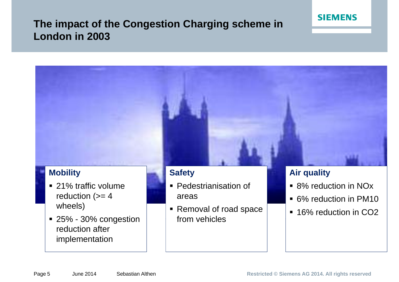## **The impact of the Congestion Charging scheme in London in 2003**

## **Mobility** ■ 21% traffic volume **Safety Pedestrianisation of Air quality** 8% reduction in NOx . . . . . . . .

- reduction  $(>= 4)$ wheels)
- 25% 30% congestion reduction after implementation
- areas
- Removal of road space from vehicles
- 
- 6% reduction in PM10

**SIEMENS** 

■ 16% reduction in CO<sub>2</sub>